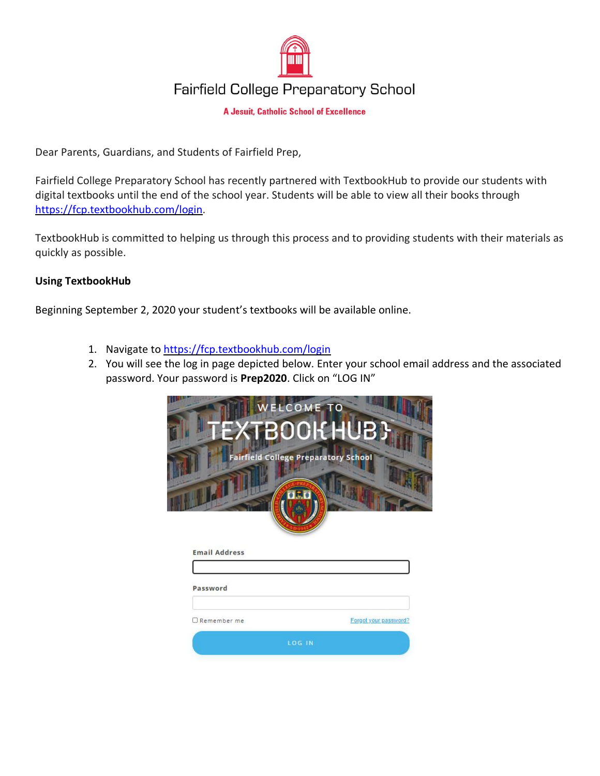

## **Fairfield College Preparatory School**

**A Jesuit, Catholic School of Excellence** 

Dear Parents, Guardians, and Students of Fairfield Prep,

Fairfield College Preparatory School has recently partnered with TextbookHub to provide our students with digital textbooks until the end of the school year. Students will be able to view all their books through [https://fcp.textbookhub.com/login.](https://fcp.textbookhub.com/login)

TextbookHub is committed to helping us through this process and to providing students with their materials as quickly as possible.

## **Using TextbookHub**

Beginning September 2, 2020 your student's textbooks will be available online.

- 1. Navigate to<https://fcp.textbookhub.com/login>
- 2. You will see the log in page depicted below. Enter your school email address and the associated password. Your password is **Prep2020**. Click on "LOG IN"

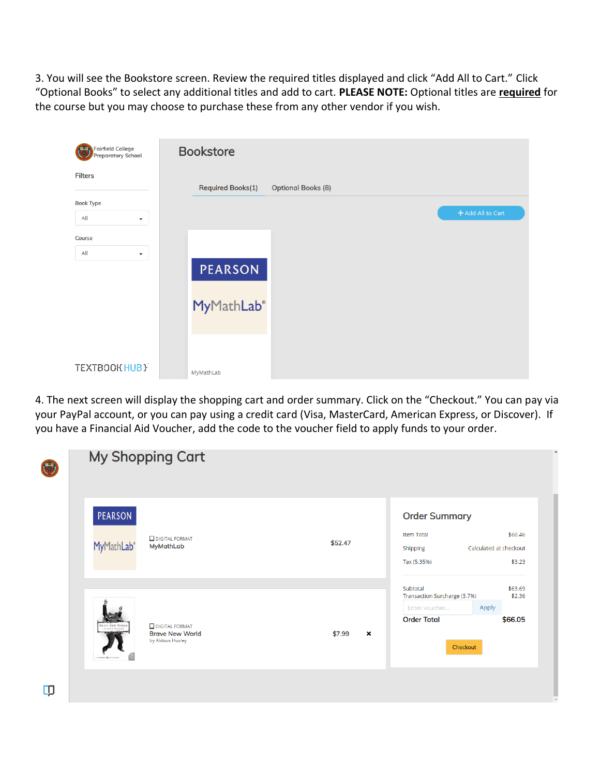3. You will see the Bookstore screen. Review the required titles displayed and click "Add All to Cart." Click "Optional Books" to select any additional titles and add to cart. **PLEASE NOTE:** Optional titles are **required** for the course but you may choose to purchase these from any other vendor if you wish.

| Fairfield College<br><b>DED</b><br><b>Preparatory School</b> | <b>Bookstore</b>                                      |                   |
|--------------------------------------------------------------|-------------------------------------------------------|-------------------|
| Filters                                                      | <b>Required Books(1)</b><br><b>Optional Books (8)</b> |                   |
| Book Type<br>A  <br>$\overline{\phantom{a}}$                 |                                                       | + Add All to Cart |
| Course                                                       |                                                       |                   |
| All<br>$\blacktriangledown$                                  | <b>PEARSON</b>                                        |                   |
|                                                              | <b>MyMathLab®</b>                                     |                   |
| TEXTBOOK HUB }                                               | MyMathLab                                             |                   |

4. The next screen will display the shopping cart and order summary. Click on the "Checkout." You can pay via your PayPal account, or you can pay using a credit card (Visa, MasterCard, American Express, or Discover). If you have a Financial Aid Voucher, add the code to the voucher field to apply funds to your order.

| (F) | <b>My Shopping Cart</b>                                                                                              |                                                                                                                                                                  |
|-----|----------------------------------------------------------------------------------------------------------------------|------------------------------------------------------------------------------------------------------------------------------------------------------------------|
|     | <b>PEARSON</b><br><b>DIGITAL FORMAT</b><br>MyMathLab®<br><b>MyMathLab</b>                                            | <b>Order Summary</b><br><b>Item Total</b><br>\$60,46<br>\$52.47<br>Calculated at checkout<br>Shipping<br>Tax (5.35%)<br>\$3.23                                   |
|     | <b>BRAVE NEW WORL</b><br><b>DIGITAL FORMAT</b><br><b>ALDOUS HUXLEY</b><br><b>Brave New World</b><br>by Aldous Huxley | Subtotal<br>\$63.69<br>Transaction Surcharge (3.7%)<br>\$2.36<br>Enter voucher<br>Apply<br><b>Order Total</b><br>\$66.05<br>\$7.99<br>$\pmb{\times}$<br>Checkout |
| Ф   |                                                                                                                      |                                                                                                                                                                  |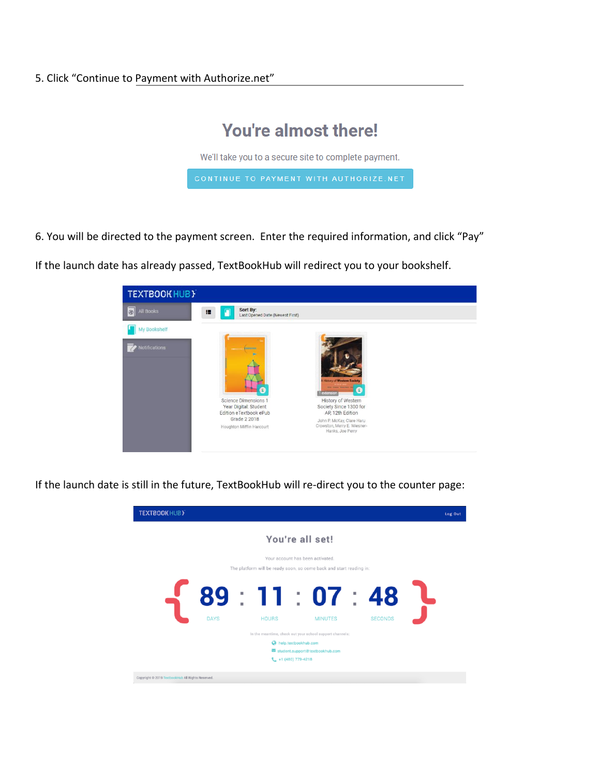## You're almost there!

We'll take you to a secure site to complete payment.

6. You will be directed to the payment screen. Enter the required information, and click "Pay"

If the launch date has already passed, TextBookHub will redirect you to your bookshelf.



If the launch date is still in the future, TextBookHub will re-direct you to the counter page: